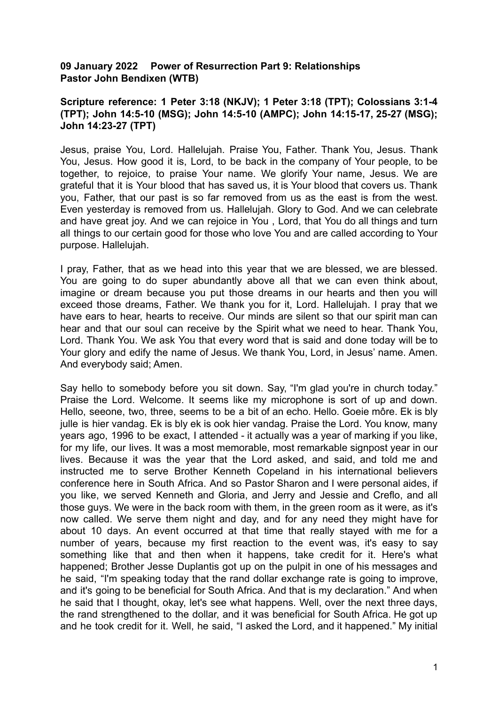## **09 January 2022 Power of Resurrection Part 9: Relationships Pastor John Bendixen (WTB)**

## **Scripture reference: 1 Peter 3:18 (NKJV); 1 Peter 3:18 (TPT); Colossians 3:1-4 (TPT); John 14:5-10 (MSG); John 14:5-10 (AMPC); John 14:15-17, 25-27 (MSG); John 14:23-27 (TPT)**

Jesus, praise You, Lord. Hallelujah. Praise You, Father. Thank You, Jesus. Thank You, Jesus. How good it is, Lord, to be back in the company of Your people, to be together, to rejoice, to praise Your name. We glorify Your name, Jesus. We are grateful that it is Your blood that has saved us, it is Your blood that covers us. Thank you, Father, that our past is so far removed from us as the east is from the west. Even yesterday is removed from us. Hallelujah. Glory to God. And we can celebrate and have great joy. And we can rejoice in You , Lord, that You do all things and turn all things to our certain good for those who love You and are called according to Your purpose. Hallelujah.

I pray, Father, that as we head into this year that we are blessed, we are blessed. You are going to do super abundantly above all that we can even think about, imagine or dream because you put those dreams in our hearts and then you will exceed those dreams, Father. We thank you for it, Lord. Hallelujah. I pray that we have ears to hear, hearts to receive. Our minds are silent so that our spirit man can hear and that our soul can receive by the Spirit what we need to hear. Thank You, Lord. Thank You. We ask You that every word that is said and done today will be to Your glory and edify the name of Jesus. We thank You, Lord, in Jesus' name. Amen. And everybody said; Amen.

Say hello to somebody before you sit down. Say, "I'm glad you're in church today." Praise the Lord. Welcome. It seems like my microphone is sort of up and down. Hello, seeone, two, three, seems to be a bit of an echo. Hello. Goeie môre. Ek is bly julle is hier vandag. Ek is bly ek is ook hier vandag. Praise the Lord. You know, many years ago, 1996 to be exact, I attended - it actually was a year of marking if you like, for my life, our lives. It was a most memorable, most remarkable signpost year in our lives. Because it was the year that the Lord asked, and said, and told me and instructed me to serve Brother Kenneth Copeland in his international believers conference here in South Africa. And so Pastor Sharon and I were personal aides, if you like, we served Kenneth and Gloria, and Jerry and Jessie and Creflo, and all those guys. We were in the back room with them, in the green room as it were, as it's now called. We serve them night and day, and for any need they might have for about 10 days. An event occurred at that time that really stayed with me for a number of years, because my first reaction to the event was, it's easy to say something like that and then when it happens, take credit for it. Here's what happened; Brother Jesse Duplantis got up on the pulpit in one of his messages and he said, "I'm speaking today that the rand dollar exchange rate is going to improve, and it's going to be beneficial for South Africa. And that is my declaration." And when he said that I thought, okay, let's see what happens. Well, over the next three days, the rand strengthened to the dollar, and it was beneficial for South Africa. He got up and he took credit for it. Well, he said, "I asked the Lord, and it happened." My initial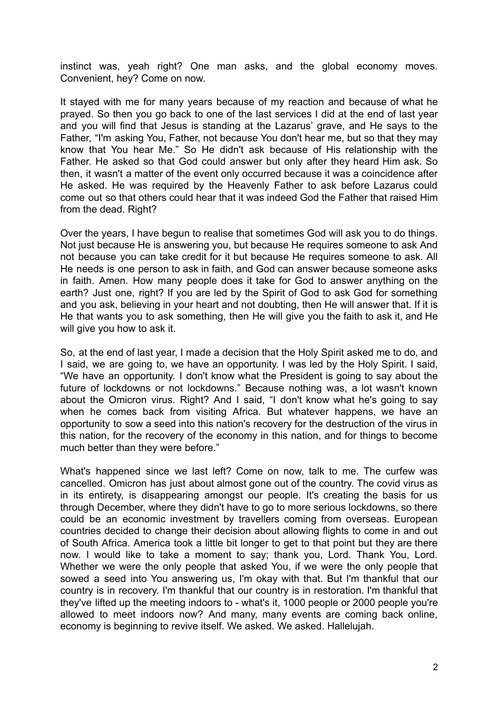instinct was, yeah right? One man asks, and the global economy moves. Convenient, hey? Come on now.

It stayed with me for many years because of my reaction and because of what he prayed. So then you go back to one of the last services I did at the end of last year and you will find that Jesus is standing at the Lazarus' grave, and He says to the Father, "I'm asking You, Father, not because You don't hear me, but so that they may know that You hear Me." So He didn't ask because of His relationship with the Father. He asked so that God could answer but only after they heard Him ask. So then, it wasn't a matter of the event only occurred because it was a coincidence after He asked. He was required by the Heavenly Father to ask before Lazarus could come out so that others could hear that it was indeed God the Father that raised Him from the dead. Right?

Over the years, I have begun to realise that sometimes God will ask you to do things. Not just because He is answering you, but because He requires someone to ask And not because you can take credit for it but because He requires someone to ask. All He needs is one person to ask in faith, and God can answer because someone asks in faith. Amen. How many people does it take for God to answer anything on the earth? Just one, right? If you are led by the Spirit of God to ask God for something and you ask, believing in your heart and not doubting, then He will answer that. If it is He that wants you to ask something, then He will give you the faith to ask it, and He will give you how to ask it.

So, at the end of last year, I made a decision that the Holy Spirit asked me to do, and I said, we are going to, we have an opportunity. I was led by the Holy Spirit. I said, "We have an opportunity. I don't know what the President is going to say about the future of lockdowns or not lockdowns." Because nothing was, a lot wasn't known about the Omicron virus. Right? And I said, "I don't know what he's going to say when he comes back from visiting Africa. But whatever happens, we have an opportunity to sow a seed into this nation's recovery for the destruction of the virus in this nation, for the recovery of the economy in this nation, and for things to become much better than they were before."

What's happened since we last left? Come on now, talk to me. The curfew was cancelled. Omicron has just about almost gone out of the country. The covid virus as in its entirety, is disappearing amongst our people. It's creating the basis for us through December, where they didn't have to go to more serious lockdowns, so there could be an economic investment by travellers coming from overseas. European countries decided to change their decision about allowing flights to come in and out of South Africa. America took a little bit longer to get to that point but they are there now. I would like to take a moment to say; thank you, Lord. Thank You, Lord. Whether we were the only people that asked You, if we were the only people that sowed a seed into You answering us, I'm okay with that. But I'm thankful that our country is in recovery. I'm thankful that our country is in restoration. I'm thankful that they've lifted up the meeting indoors to - what's it, 1000 people or 2000 people you're allowed to meet indoors now? And many, many events are coming back online, economy is beginning to revive itself. We asked. We asked. Hallelujah.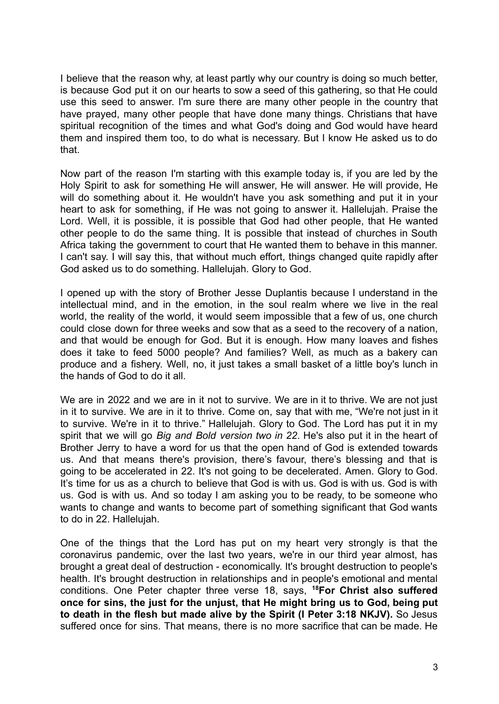I believe that the reason why, at least partly why our country is doing so much better, is because God put it on our hearts to sow a seed of this gathering, so that He could use this seed to answer. I'm sure there are many other people in the country that have prayed, many other people that have done many things. Christians that have spiritual recognition of the times and what God's doing and God would have heard them and inspired them too, to do what is necessary. But I know He asked us to do that.

Now part of the reason I'm starting with this example today is, if you are led by the Holy Spirit to ask for something He will answer, He will answer. He will provide, He will do something about it. He wouldn't have you ask something and put it in your heart to ask for something, if He was not going to answer it. Hallelujah. Praise the Lord. Well, it is possible, it is possible that God had other people, that He wanted other people to do the same thing. It is possible that instead of churches in South Africa taking the government to court that He wanted them to behave in this manner. I can't say. I will say this, that without much effort, things changed quite rapidly after God asked us to do something. Hallelujah. Glory to God.

I opened up with the story of Brother Jesse Duplantis because I understand in the intellectual mind, and in the emotion, in the soul realm where we live in the real world, the reality of the world, it would seem impossible that a few of us, one church could close down for three weeks and sow that as a seed to the recovery of a nation, and that would be enough for God. But it is enough. How many loaves and fishes does it take to feed 5000 people? And families? Well, as much as a bakery can produce and a fishery. Well, no, it just takes a small basket of a little boy's lunch in the hands of God to do it all.

We are in 2022 and we are in it not to survive. We are in it to thrive. We are not just in it to survive. We are in it to thrive. Come on, say that with me, "We're not just in it to survive. We're in it to thrive." Hallelujah. Glory to God. The Lord has put it in my spirit that we will go *Big and Bold version two in 22*. He's also put it in the heart of Brother Jerry to have a word for us that the open hand of God is extended towards us. And that means there's provision, there's favour, there's blessing and that is going to be accelerated in 22. It's not going to be decelerated. Amen. Glory to God. It's time for us as a church to believe that God is with us. God is with us. God is with us. God is with us. And so today I am asking you to be ready, to be someone who wants to change and wants to become part of something significant that God wants to do in 22. Hallelujah.

One of the things that the Lord has put on my heart very strongly is that the coronavirus pandemic, over the last two years, we're in our third year almost, has brought a great deal of destruction - economically. It's brought destruction to people's health. It's brought destruction in relationships and in people's emotional and mental conditions. One Peter chapter three verse 18, says, **<sup>18</sup>For Christ also suffered once for sins, the just for the unjust, that He might bring us to God, being put to death in the flesh but made alive by the Spirit (I Peter 3:18 NKJV).** So Jesus suffered once for sins. That means, there is no more sacrifice that can be made. He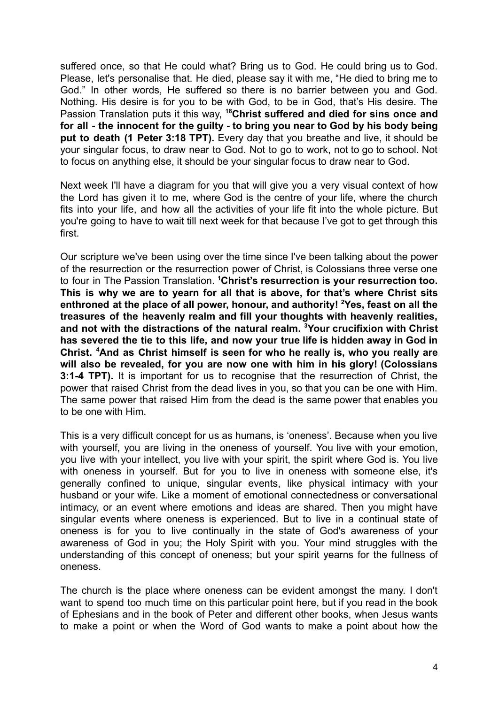suffered once, so that He could what? Bring us to God. He could bring us to God. Please, let's personalise that. He died, please say it with me, "He died to bring me to God." In other words, He suffered so there is no barrier between you and God. Nothing. His desire is for you to be with God, to be in God, that's His desire. The Passion Translation puts it this way, **<sup>18</sup>Christ suffered and died for sins once and for all - the innocent for the guilty - to bring you near to God by his body being put to death (1 Peter 3:18 TPT).** Every day that you breathe and live, it should be your singular focus, to draw near to God. Not to go to work, not to go to school. Not to focus on anything else, it should be your singular focus to draw near to God.

Next week I'll have a diagram for you that will give you a very visual context of how the Lord has given it to me, where God is the centre of your life, where the church fits into your life, and how all the activities of your life fit into the whole picture. But you're going to have to wait till next week for that because I've got to get through this first.

Our scripture we've been using over the time since I've been talking about the power of the resurrection or the resurrection power of Christ, is Colossians three verse one to four in The Passion Translation. **<sup>1</sup>Christ's resurrection is your resurrection too. This is why we are to yearn for all that is above, for that's where Christ sits enthroned at the place of all power, honour, and authority! <sup>2</sup>Yes, feast on all the treasures of the heavenly realm and fill your thoughts with heavenly realities, and not with the distractions of the natural realm. <sup>3</sup>Your crucifixion with Christ has severed the tie to this life, and now your true life is hidden away in God in Christ. <sup>4</sup>And as Christ himself is seen for who he really is, who you really are will also be revealed, for you are now one with him in his glory! (Colossians 3:1-4 TPT).** It is important for us to recognise that the resurrection of Christ, the power that raised Christ from the dead lives in you, so that you can be one with Him. The same power that raised Him from the dead is the same power that enables you to be one with Him.

This is a very difficult concept for us as humans, is 'oneness'. Because when you live with yourself, you are living in the oneness of yourself. You live with your emotion, you live with your intellect, you live with your spirit, the spirit where God is. You live with oneness in yourself. But for you to live in oneness with someone else, it's generally confined to unique, singular events, like physical intimacy with your husband or your wife. Like a moment of emotional connectedness or conversational intimacy, or an event where emotions and ideas are shared. Then you might have singular events where oneness is experienced. But to live in a continual state of oneness is for you to live continually in the state of God's awareness of your awareness of God in you; the Holy Spirit with you. Your mind struggles with the understanding of this concept of oneness; but your spirit yearns for the fullness of oneness.

The church is the place where oneness can be evident amongst the many. I don't want to spend too much time on this particular point here, but if you read in the book of Ephesians and in the book of Peter and different other books, when Jesus wants to make a point or when the Word of God wants to make a point about how the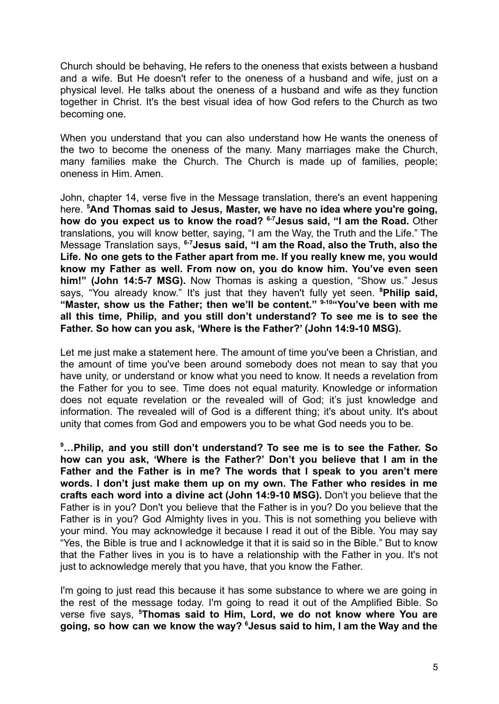Church should be behaving, He refers to the oneness that exists between a husband and a wife. But He doesn't refer to the oneness of a husband and wife, just on a physical level. He talks about the oneness of a husband and wife as they function together in Christ. It's the best visual idea of how God refers to the Church as two becoming one.

When you understand that you can also understand how He wants the oneness of the two to become the oneness of the many. Many marriages make the Church, many families make the Church. The Church is made up of families, people; oneness in Him. Amen.

John, chapter 14, verse five in the Message translation, there's an event happening here. **<sup>5</sup>And Thomas said to Jesus, Master, we have no idea where you're going, how do you expect us to know the road? 6-7Jesus said, "I am the Road.** Other translations, you will know better, saying, "I am the Way, the Truth and the Life." The Message Translation says, **6-7Jesus said, "I am the Road, also the Truth, also the Life. No one gets to the Father apart from me. If you really knew me, you would know my Father as well. From now on, you do know him. You've even seen him!" (John 14:5-7 MSG).** Now Thomas is asking a question, "Show us." Jesus says, "You already know." It's just that they haven't fully yet seen. **<sup>8</sup>Philip said, "Master, show us the Father; then we'll be content." 9-10"You've been with me all this time, Philip, and you still don't understand? To see me is to see the Father. So how can you ask, 'Where is the Father?' (John 14:9-10 MSG).**

Let me just make a statement here. The amount of time you've been a Christian, and the amount of time you've been around somebody does not mean to say that you have unity, or understand or know what you need to know. It needs a revelation from the Father for you to see. Time does not equal maturity. Knowledge or information does not equate revelation or the revealed will of God; it's just knowledge and information. The revealed will of God is a different thing; it's about unity. It's about unity that comes from God and empowers you to be what God needs you to be.

**<sup>9</sup>…Philip, and you still don't understand? To see me is to see the Father. So how can you ask, 'Where is the Father?' Don't you believe that I am in the Father and the Father is in me? The words that I speak to you aren't mere words. I don't just make them up on my own. The Father who resides in me crafts each word into a divine act (John 14:9-10 MSG).** Don't you believe that the Father is in you? Don't you believe that the Father is in you? Do you believe that the Father is in you? God Almighty lives in you. This is not something you believe with your mind. You may acknowledge it because I read it out of the Bible. You may say "Yes, the Bible is true and I acknowledge it that it is said so in the Bible." But to know that the Father lives in you is to have a relationship with the Father in you. It's not just to acknowledge merely that you have, that you know the Father.

I'm going to just read this because it has some substance to where we are going in the rest of the message today. I'm going to read it out of the Amplified Bible. So verse five says, **<sup>5</sup>Thomas said to Him, Lord, we do not know where You are going, so how can we know the way? <sup>6</sup>Jesus said to him, I am the Way and the**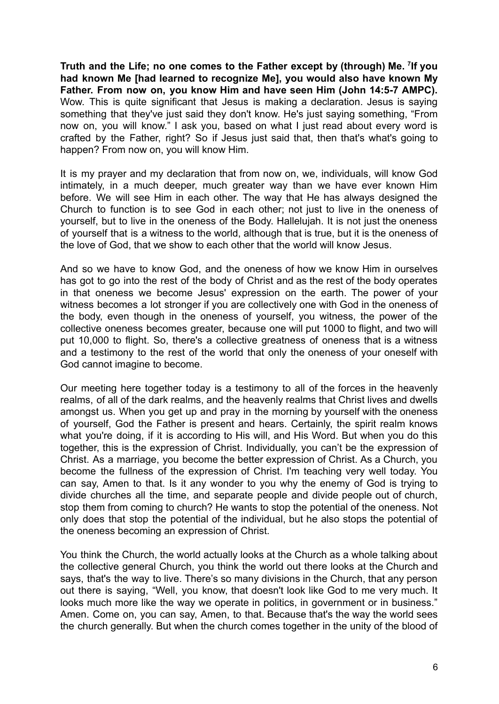**Truth and the Life; no one comes to the Father except by (through) Me. <sup>7</sup> If you had known Me [had learned to recognize Me], you would also have known My Father. From now on, you know Him and have seen Him (John 14:5-7 AMPC).** Wow. This is quite significant that Jesus is making a declaration. Jesus is saying something that they've just said they don't know. He's just saying something, "From now on, you will know." I ask you, based on what I just read about every word is crafted by the Father, right? So if Jesus just said that, then that's what's going to happen? From now on, you will know Him.

It is my prayer and my declaration that from now on, we, individuals, will know God intimately, in a much deeper, much greater way than we have ever known Him before. We will see Him in each other. The way that He has always designed the Church to function is to see God in each other; not just to live in the oneness of yourself, but to live in the oneness of the Body. Hallelujah. It is not just the oneness of yourself that is a witness to the world, although that is true, but it is the oneness of the love of God, that we show to each other that the world will know Jesus.

And so we have to know God, and the oneness of how we know Him in ourselves has got to go into the rest of the body of Christ and as the rest of the body operates in that oneness we become Jesus' expression on the earth. The power of your witness becomes a lot stronger if you are collectively one with God in the oneness of the body, even though in the oneness of yourself, you witness, the power of the collective oneness becomes greater, because one will put 1000 to flight, and two will put 10,000 to flight. So, there's a collective greatness of oneness that is a witness and a testimony to the rest of the world that only the oneness of your oneself with God cannot imagine to become.

Our meeting here together today is a testimony to all of the forces in the heavenly realms, of all of the dark realms, and the heavenly realms that Christ lives and dwells amongst us. When you get up and pray in the morning by yourself with the oneness of yourself, God the Father is present and hears. Certainly, the spirit realm knows what you're doing, if it is according to His will, and His Word. But when you do this together, this is the expression of Christ. Individually, you can't be the expression of Christ. As a marriage, you become the better expression of Christ. As a Church, you become the fullness of the expression of Christ. I'm teaching very well today. You can say, Amen to that. Is it any wonder to you why the enemy of God is trying to divide churches all the time, and separate people and divide people out of church, stop them from coming to church? He wants to stop the potential of the oneness. Not only does that stop the potential of the individual, but he also stops the potential of the oneness becoming an expression of Christ.

You think the Church, the world actually looks at the Church as a whole talking about the collective general Church, you think the world out there looks at the Church and says, that's the way to live. There's so many divisions in the Church, that any person out there is saying, "Well, you know, that doesn't look like God to me very much. It looks much more like the way we operate in politics, in government or in business." Amen. Come on, you can say, Amen, to that. Because that's the way the world sees the church generally. But when the church comes together in the unity of the blood of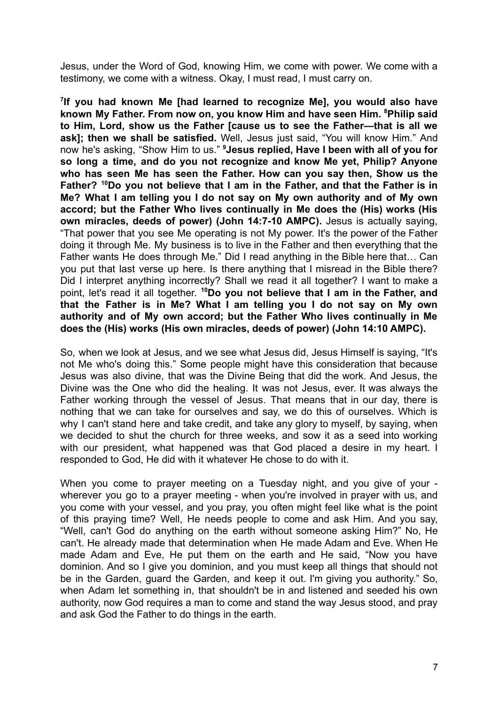Jesus, under the Word of God, knowing Him, we come with power. We come with a testimony, we come with a witness. Okay, I must read, I must carry on.

**7 If you had known Me [had learned to recognize Me], you would also have known My Father. From now on, you know Him and have seen Him. <sup>8</sup>Philip said to Him, Lord, show us the Father [cause us to see the Father—that is all we ask]; then we shall be satisfied.** Well, Jesus just said, "You will know Him." And now he's asking, "Show Him to us." **<sup>9</sup>Jesus replied, Have I been with all of you for so long a time, and do you not recognize and know Me yet, Philip? Anyone who has seen Me has seen the Father. How can you say then, Show us the Father? <sup>10</sup>Do you not believe that I am in the Father, and that the Father is in Me? What I am telling you I do not say on My own authority and of My own accord; but the Father Who lives continually in Me does the (His) works (His own miracles, deeds of power) (John 14:7-10 AMPC).** Jesus is actually saying, "That power that you see Me operating is not My power. It's the power of the Father doing it through Me. My business is to live in the Father and then everything that the Father wants He does through Me." Did I read anything in the Bible here that… Can you put that last verse up here. Is there anything that I misread in the Bible there? Did I interpret anything incorrectly? Shall we read it all together? I want to make a point, let's read it all together. **<sup>10</sup>Do you not believe that I am in the Father, and that the Father is in Me? What I am telling you I do not say on My own authority and of My own accord; but the Father Who lives continually in Me does the (His) works (His own miracles, deeds of power) (John 14:10 AMPC).**

So, when we look at Jesus, and we see what Jesus did, Jesus Himself is saying, "It's not Me who's doing this." Some people might have this consideration that because Jesus was also divine, that was the Divine Being that did the work. And Jesus, the Divine was the One who did the healing. It was not Jesus, ever. It was always the Father working through the vessel of Jesus. That means that in our day, there is nothing that we can take for ourselves and say, we do this of ourselves. Which is why I can't stand here and take credit, and take any glory to myself, by saying, when we decided to shut the church for three weeks, and sow it as a seed into working with our president, what happened was that God placed a desire in my heart. I responded to God, He did with it whatever He chose to do with it.

When you come to prayer meeting on a Tuesday night, and you give of your wherever you go to a prayer meeting - when you're involved in prayer with us, and you come with your vessel, and you pray, you often might feel like what is the point of this praying time? Well, He needs people to come and ask Him. And you say, "Well, can't God do anything on the earth without someone asking Him?" No, He can't. He already made that determination when He made Adam and Eve. When He made Adam and Eve, He put them on the earth and He said, "Now you have dominion. And so I give you dominion, and you must keep all things that should not be in the Garden, guard the Garden, and keep it out. I'm giving you authority." So, when Adam let something in, that shouldn't be in and listened and seeded his own authority, now God requires a man to come and stand the way Jesus stood, and pray and ask God the Father to do things in the earth.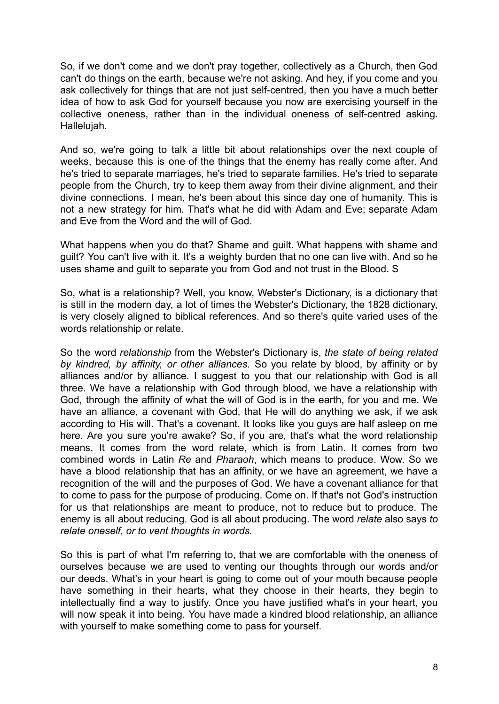So, if we don't come and we don't pray together, collectively as a Church, then God can't do things on the earth, because we're not asking. And hey, if you come and you ask collectively for things that are not just self-centred, then you have a much better idea of how to ask God for yourself because you now are exercising yourself in the collective oneness, rather than in the individual oneness of self-centred asking. Hallelujah.

And so, we're going to talk a little bit about relationships over the next couple of weeks, because this is one of the things that the enemy has really come after. And he's tried to separate marriages, he's tried to separate families. He's tried to separate people from the Church, try to keep them away from their divine alignment, and their divine connections. I mean, he's been about this since day one of humanity. This is not a new strategy for him. That's what he did with Adam and Eve; separate Adam and Eve from the Word and the will of God.

What happens when you do that? Shame and guilt. What happens with shame and guilt? You can't live with it. It's a weighty burden that no one can live with. And so he uses shame and guilt to separate you from God and not trust in the Blood. S

So, what is a relationship? Well, you know, Webster's Dictionary, is a dictionary that is still in the modern day, a lot of times the Webster's Dictionary, the 1828 dictionary, is very closely aligned to biblical references. And so there's quite varied uses of the words relationship or relate.

So the word *relationship* from the Webster's Dictionary is, *the state of being related by kindred, by affinity, or other alliances*. So you relate by blood, by affinity or by alliances and/or by alliance. I suggest to you that our relationship with God is all three. We have a relationship with God through blood, we have a relationship with God, through the affinity of what the will of God is in the earth, for you and me. We have an alliance, a covenant with God, that He will do anything we ask, if we ask according to His will. That's a covenant. It looks like you guys are half asleep on me here. Are you sure you're awake? So, if you are, that's what the word relationship means. It comes from the word relate, which is from Latin. It comes from two combined words in Latin *Re* and *Pharaoh*, which means to produce. Wow. So we have a blood relationship that has an affinity, or we have an agreement, we have a recognition of the will and the purposes of God. We have a covenant alliance for that to come to pass for the purpose of producing. Come on. If that's not God's instruction for us that relationships are meant to produce, not to reduce but to produce. The enemy is all about reducing. God is all about producing. The word *relate* also says *to relate oneself, or to vent thoughts in words.*

So this is part of what I'm referring to, that we are comfortable with the oneness of ourselves because we are used to venting our thoughts through our words and/or our deeds. What's in your heart is going to come out of your mouth because people have something in their hearts, what they choose in their hearts, they begin to intellectually find a way to justify. Once you have justified what's in your heart, you will now speak it into being. You have made a kindred blood relationship, an alliance with yourself to make something come to pass for yourself.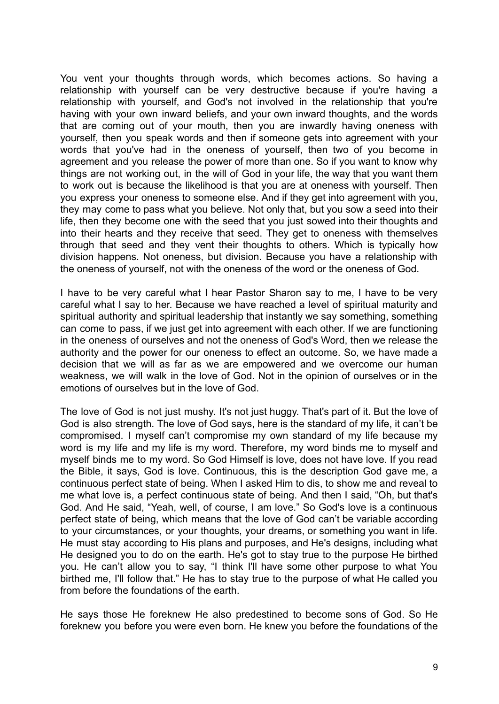You vent your thoughts through words, which becomes actions. So having a relationship with yourself can be very destructive because if you're having a relationship with yourself, and God's not involved in the relationship that you're having with your own inward beliefs, and your own inward thoughts, and the words that are coming out of your mouth, then you are inwardly having oneness with yourself, then you speak words and then if someone gets into agreement with your words that you've had in the oneness of yourself, then two of you become in agreement and you release the power of more than one. So if you want to know why things are not working out, in the will of God in your life, the way that you want them to work out is because the likelihood is that you are at oneness with yourself. Then you express your oneness to someone else. And if they get into agreement with you, they may come to pass what you believe. Not only that, but you sow a seed into their life, then they become one with the seed that you just sowed into their thoughts and into their hearts and they receive that seed. They get to oneness with themselves through that seed and they vent their thoughts to others. Which is typically how division happens. Not oneness, but division. Because you have a relationship with the oneness of yourself, not with the oneness of the word or the oneness of God.

I have to be very careful what I hear Pastor Sharon say to me, I have to be very careful what I say to her. Because we have reached a level of spiritual maturity and spiritual authority and spiritual leadership that instantly we say something, something can come to pass, if we just get into agreement with each other. If we are functioning in the oneness of ourselves and not the oneness of God's Word, then we release the authority and the power for our oneness to effect an outcome. So, we have made a decision that we will as far as we are empowered and we overcome our human weakness, we will walk in the love of God. Not in the opinion of ourselves or in the emotions of ourselves but in the love of God.

The love of God is not just mushy. It's not just huggy. That's part of it. But the love of God is also strength. The love of God says, here is the standard of my life, it can't be compromised. I myself can't compromise my own standard of my life because my word is my life and my life is my word. Therefore, my word binds me to myself and myself binds me to my word. So God Himself is love, does not have love. If you read the Bible, it says, God is love. Continuous, this is the description God gave me, a continuous perfect state of being. When I asked Him to dis, to show me and reveal to me what love is, a perfect continuous state of being. And then I said, "Oh, but that's God. And He said, "Yeah, well, of course, I am love." So God's love is a continuous perfect state of being, which means that the love of God can't be variable according to your circumstances, or your thoughts, your dreams, or something you want in life. He must stay according to His plans and purposes, and He's designs, including what He designed you to do on the earth. He's got to stay true to the purpose He birthed you. He can't allow you to say, "I think I'll have some other purpose to what You birthed me, I'll follow that." He has to stay true to the purpose of what He called you from before the foundations of the earth.

He says those He foreknew He also predestined to become sons of God. So He foreknew you before you were even born. He knew you before the foundations of the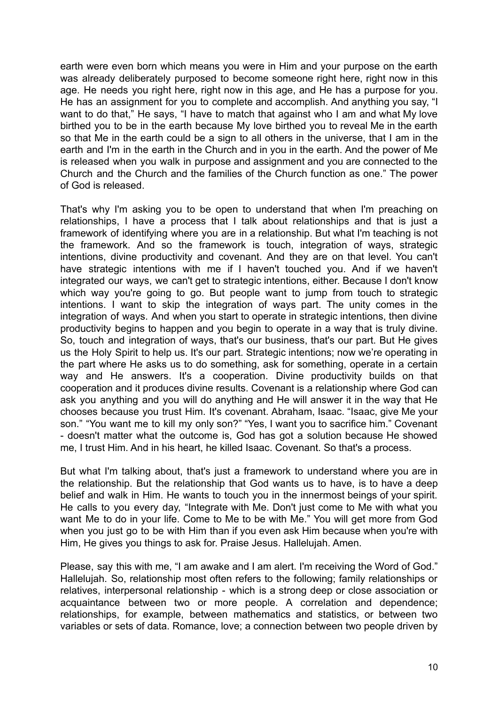earth were even born which means you were in Him and your purpose on the earth was already deliberately purposed to become someone right here, right now in this age. He needs you right here, right now in this age, and He has a purpose for you. He has an assignment for you to complete and accomplish. And anything you say, "I want to do that," He says, "I have to match that against who I am and what My love birthed you to be in the earth because My love birthed you to reveal Me in the earth so that Me in the earth could be a sign to all others in the universe, that I am in the earth and I'm in the earth in the Church and in you in the earth. And the power of Me is released when you walk in purpose and assignment and you are connected to the Church and the Church and the families of the Church function as one." The power of God is released.

That's why I'm asking you to be open to understand that when I'm preaching on relationships, I have a process that I talk about relationships and that is just a framework of identifying where you are in a relationship. But what I'm teaching is not the framework. And so the framework is touch, integration of ways, strategic intentions, divine productivity and covenant. And they are on that level. You can't have strategic intentions with me if I haven't touched you. And if we haven't integrated our ways, we can't get to strategic intentions, either. Because I don't know which way you're going to go. But people want to jump from touch to strategic intentions. I want to skip the integration of ways part. The unity comes in the integration of ways. And when you start to operate in strategic intentions, then divine productivity begins to happen and you begin to operate in a way that is truly divine. So, touch and integration of ways, that's our business, that's our part. But He gives us the Holy Spirit to help us. It's our part. Strategic intentions; now we're operating in the part where He asks us to do something, ask for something, operate in a certain way and He answers. It's a cooperation. Divine productivity builds on that cooperation and it produces divine results. Covenant is a relationship where God can ask you anything and you will do anything and He will answer it in the way that He chooses because you trust Him. It's covenant. Abraham, Isaac. "Isaac, give Me your son." "You want me to kill my only son?" "Yes, I want you to sacrifice him." Covenant - doesn't matter what the outcome is, God has got a solution because He showed me, I trust Him. And in his heart, he killed Isaac. Covenant. So that's a process.

But what I'm talking about, that's just a framework to understand where you are in the relationship. But the relationship that God wants us to have, is to have a deep belief and walk in Him. He wants to touch you in the innermost beings of your spirit. He calls to you every day, "Integrate with Me. Don't just come to Me with what you want Me to do in your life. Come to Me to be with Me." You will get more from God when you just go to be with Him than if you even ask Him because when you're with Him, He gives you things to ask for. Praise Jesus. Hallelujah. Amen.

Please, say this with me, "I am awake and I am alert. I'm receiving the Word of God." Hallelujah. So, relationship most often refers to the following; family relationships or relatives, interpersonal relationship - which is a strong deep or close association or acquaintance between two or more people. A correlation and dependence; relationships, for example, between mathematics and statistics, or between two variables or sets of data. Romance, love; a connection between two people driven by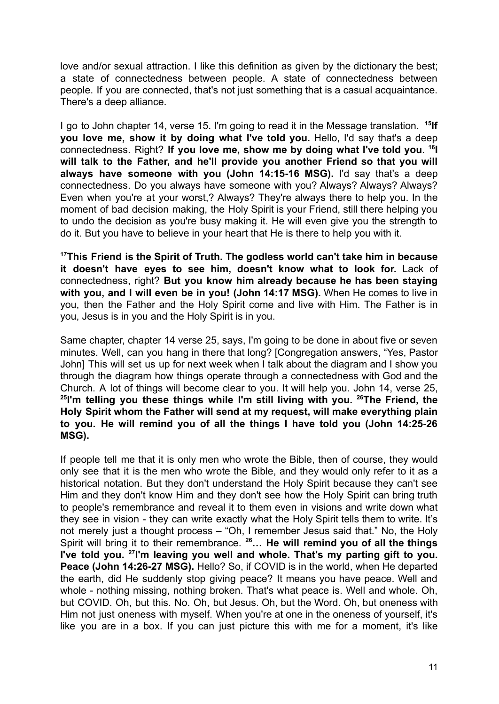love and/or sexual attraction. I like this definition as given by the dictionary the best; a state of connectedness between people. A state of connectedness between people. If you are connected, that's not just something that is a casual acquaintance. There's a deep alliance.

I go to John chapter 14, verse 15. I'm going to read it in the Message translation. <sup>15</sup>If **you love me, show it by doing what I've told you.** Hello, I'd say that's a deep connectedness. Right? **If you love me, show me by doing what I've told you**. **16 I will talk to the Father, and he'll provide you another Friend so that you will always have someone with you (John 14:15-16 MSG).** I'd say that's a deep connectedness. Do you always have someone with you? Always? Always? Always? Even when you're at your worst,? Always? They're always there to help you. In the moment of bad decision making, the Holy Spirit is your Friend, still there helping you to undo the decision as you're busy making it. He will even give you the strength to do it. But you have to believe in your heart that He is there to help you with it.

**<sup>17</sup>This Friend is the Spirit of Truth. The godless world can't take him in because it doesn't have eyes to see him, doesn't know what to look for.** Lack of connectedness, right? **But you know him already because he has been staying with you, and I will even be in you! (John 14:17 MSG).** When He comes to live in you, then the Father and the Holy Spirit come and live with Him. The Father is in you, Jesus is in you and the Holy Spirit is in you.

Same chapter, chapter 14 verse 25, says, I'm going to be done in about five or seven minutes. Well, can you hang in there that long? [Congregation answers, "Yes, Pastor John] This will set us up for next week when I talk about the diagram and I show you through the diagram how things operate through a connectedness with God and the Church. A lot of things will become clear to you. It will help you. John 14, verse 25, **25 I'm telling you these things while I'm still living with you. <sup>26</sup>The Friend, the Holy Spirit whom the Father will send at my request, will make everything plain to you. He will remind you of all the things I have told you (John 14:25-26 MSG).**

If people tell me that it is only men who wrote the Bible, then of course, they would only see that it is the men who wrote the Bible, and they would only refer to it as a historical notation. But they don't understand the Holy Spirit because they can't see Him and they don't know Him and they don't see how the Holy Spirit can bring truth to people's remembrance and reveal it to them even in visions and write down what they see in vision - they can write exactly what the Holy Spirit tells them to write. It's not merely just a thought process – "Oh, I remember Jesus said that." No, the Holy Spirit will bring it to their remembrance. **<sup>26</sup>… He will remind you of all the things I've told you. <sup>27</sup> I'm leaving you well and whole. That's my parting gift to you. Peace (John 14:26-27 MSG).** Hello? So, if COVID is in the world, when He departed the earth, did He suddenly stop giving peace? It means you have peace. Well and whole - nothing missing, nothing broken. That's what peace is. Well and whole. Oh, but COVID. Oh, but this. No. Oh, but Jesus. Oh, but the Word. Oh, but oneness with Him not just oneness with myself. When you're at one in the oneness of yourself, it's like you are in a box. If you can just picture this with me for a moment, it's like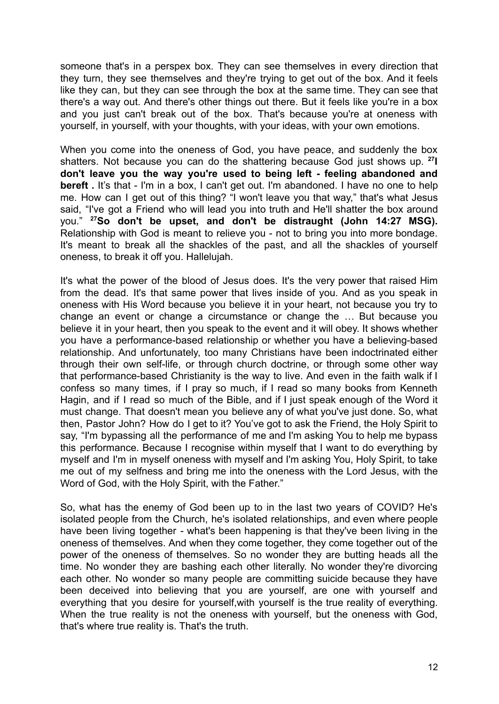someone that's in a perspex box. They can see themselves in every direction that they turn, they see themselves and they're trying to get out of the box. And it feels like they can, but they can see through the box at the same time. They can see that there's a way out. And there's other things out there. But it feels like you're in a box and you just can't break out of the box. That's because you're at oneness with yourself, in yourself, with your thoughts, with your ideas, with your own emotions.

When you come into the oneness of God, you have peace, and suddenly the box shatters. Not because you can do the shattering because God just shows up. **<sup>27</sup> I don't leave you the way you're used to being left - feeling abandoned and bereft .** It's that - I'm in a box, I can't get out. I'm abandoned. I have no one to help me. How can I get out of this thing? "I won't leave you that way," that's what Jesus said, "I've got a Friend who will lead you into truth and He'll shatter the box around you." **<sup>27</sup>So don't be upset, and don't be distraught (John 14:27 MSG).** Relationship with God is meant to relieve you - not to bring you into more bondage. It's meant to break all the shackles of the past, and all the shackles of yourself oneness, to break it off you. Hallelujah.

It's what the power of the blood of Jesus does. It's the very power that raised Him from the dead. It's that same power that lives inside of you. And as you speak in oneness with His Word because you believe it in your heart, not because you try to change an event or change a circumstance or change the … But because you believe it in your heart, then you speak to the event and it will obey. It shows whether you have a performance-based relationship or whether you have a believing-based relationship. And unfortunately, too many Christians have been indoctrinated either through their own self-life, or through church doctrine, or through some other way that performance-based Christianity is the way to live. And even in the faith walk if I confess so many times, if I pray so much, if I read so many books from Kenneth Hagin, and if I read so much of the Bible, and if I just speak enough of the Word it must change. That doesn't mean you believe any of what you've just done. So, what then, Pastor John? How do I get to it? You've got to ask the Friend, the Holy Spirit to say, "I'm bypassing all the performance of me and I'm asking You to help me bypass this performance. Because I recognise within myself that I want to do everything by myself and I'm in myself oneness with myself and I'm asking You, Holy Spirit, to take me out of my selfness and bring me into the oneness with the Lord Jesus, with the Word of God, with the Holy Spirit, with the Father."

So, what has the enemy of God been up to in the last two years of COVID? He's isolated people from the Church, he's isolated relationships, and even where people have been living together - what's been happening is that they've been living in the oneness of themselves. And when they come together, they come together out of the power of the oneness of themselves. So no wonder they are butting heads all the time. No wonder they are bashing each other literally. No wonder they're divorcing each other. No wonder so many people are committing suicide because they have been deceived into believing that you are yourself, are one with yourself and everything that you desire for yourself,with yourself is the true reality of everything. When the true reality is not the oneness with yourself, but the oneness with God, that's where true reality is. That's the truth.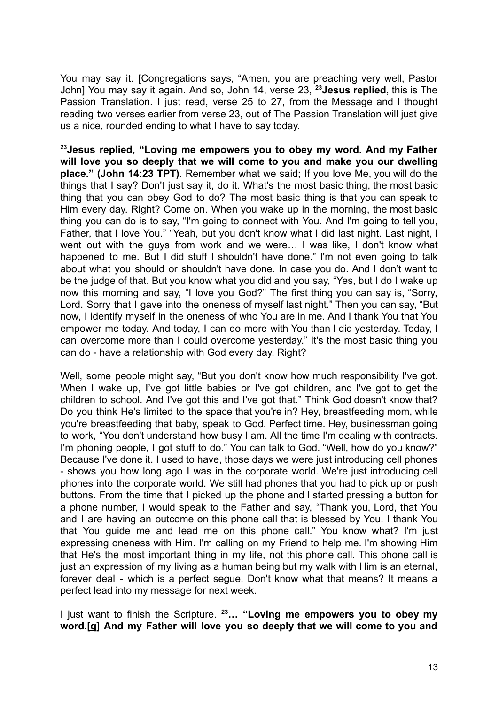You may say it. [Congregations says, "Amen, you are preaching very well, Pastor John] You may say it again. And so, John 14, verse 23, **<sup>23</sup>Jesus replied**, this is The Passion Translation. I just read, verse 25 to 27, from the Message and I thought reading two verses earlier from verse 23, out of The Passion Translation will just give us a nice, rounded ending to what I have to say today.

**<sup>23</sup>Jesus replied, "Loving me empowers you to obey my word. And my Father will love you so deeply that we will come to you and make you our dwelling place." (John 14:23 TPT).** Remember what we said; If you love Me, you will do the things that I say? Don't just say it, do it. What's the most basic thing, the most basic thing that you can obey God to do? The most basic thing is that you can speak to Him every day. Right? Come on. When you wake up in the morning, the most basic thing you can do is to say, "I'm going to connect with You. And I'm going to tell you, Father, that I love You." "Yeah, but you don't know what I did last night. Last night, I went out with the guys from work and we were… I was like, I don't know what happened to me. But I did stuff I shouldn't have done." I'm not even going to talk about what you should or shouldn't have done. In case you do. And I don't want to be the judge of that. But you know what you did and you say, "Yes, but I do I wake up now this morning and say, "I love you God?" The first thing you can say is, "Sorry, Lord. Sorry that I gave into the oneness of myself last night." Then you can say, "But now, I identify myself in the oneness of who You are in me. And I thank You that You empower me today. And today, I can do more with You than I did yesterday. Today, I can overcome more than I could overcome yesterday." It's the most basic thing you can do - have a relationship with God every day. Right?

Well, some people might say, "But you don't know how much responsibility I've got. When I wake up, I've got little babies or I've got children, and I've got to get the children to school. And I've got this and I've got that." Think God doesn't know that? Do you think He's limited to the space that you're in? Hey, breastfeeding mom, while you're breastfeeding that baby, speak to God. Perfect time. Hey, businessman going to work, "You don't understand how busy I am. All the time I'm dealing with contracts. I'm phoning people, I got stuff to do." You can talk to God. "Well, how do you know?" Because I've done it. I used to have, those days we were just introducing cell phones - shows you how long ago I was in the corporate world. We're just introducing cell phones into the corporate world. We still had phones that you had to pick up or push buttons. From the time that I picked up the phone and I started pressing a button for a phone number, I would speak to the Father and say, "Thank you, Lord, that You and I are having an outcome on this phone call that is blessed by You. I thank You that You guide me and lead me on this phone call." You know what? I'm just expressing oneness with Him. I'm calling on my Friend to help me. I'm showing Him that He's the most important thing in my life, not this phone call. This phone call is just an expression of my living as a human being but my walk with Him is an eternal, forever deal - which is a perfect segue. Don't know what that means? It means a perfect lead into my message for next week.

I just want to finish the Scripture. **<sup>23</sup>… "Loving me empowers you to obey my word.[[q](https://www.biblegateway.com/passage/?search=John+14&version=TPT#fen-TPT-8043q)] And my Father will love you so deeply that we will come to you and**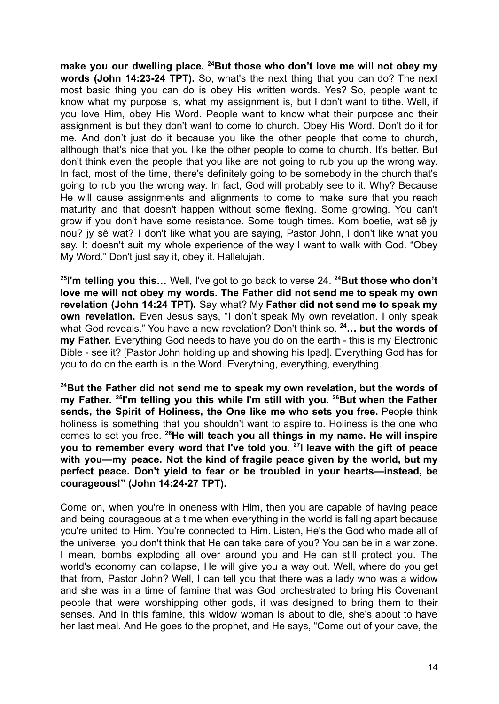**make you our dwelling place. <sup>24</sup>But those who don't love me will not obey my words (John 14:23-24 TPT).** So, what's the next thing that you can do? The next most basic thing you can do is obey His written words. Yes? So, people want to know what my purpose is, what my assignment is, but I don't want to tithe. Well, if you love Him, obey His Word. People want to know what their purpose and their assignment is but they don't want to come to church. Obey His Word. Don't do it for me. And don't just do it because you like the other people that come to church, although that's nice that you like the other people to come to church. It's better. But don't think even the people that you like are not going to rub you up the wrong way. In fact, most of the time, there's definitely going to be somebody in the church that's going to rub you the wrong way. In fact, God will probably see to it. Why? Because He will cause assignments and alignments to come to make sure that you reach maturity and that doesn't happen without some flexing. Some growing. You can't grow if you don't have some resistance. Some tough times. Kom boetie, wat sê jy nou? jy sê wat? I don't like what you are saying, Pastor John, I don't like what you say. It doesn't suit my whole experience of the way I want to walk with God. "Obey My Word." Don't just say it, obey it. Hallelujah.

**25 I'm telling you this…** Well, I've got to go back to verse 24. **<sup>24</sup>But those who don't love me will not obey my words. The Father did not send me to speak my own revelation (John 14:24 TPT).** Say what? My **Father did not send me to speak my own revelation.** Even Jesus says, "I don't speak My own revelation. I only speak what God reveals." You have a new revelation? Don't think so. **<sup>24</sup>… but the words of my Father.** Everything God needs to have you do on the earth - this is my Electronic Bible - see it? [Pastor John holding up and showing his Ipad]. Everything God has for you to do on the earth is in the Word. Everything, everything, everything.

**<sup>24</sup>But the Father did not send me to speak my own revelation, but the words of my Father. 25 I'm telling you this while I'm still with you. <sup>26</sup>But when the Father sends, the Spirit of Holiness, the One like me who sets you free.** People think holiness is something that you shouldn't want to aspire to. Holiness is the one who comes to set you free. **<sup>26</sup>He will teach you all things in my name. He will inspire you to remember every word that I've told you. <sup>27</sup> I leave with the gift of peace with you—my peace. Not the kind of fragile peace given by the world, but my perfect peace. Don't yield to fear or be troubled in your hearts—instead, be courageous!" (John 14:24-27 TPT).**

Come on, when you're in oneness with Him, then you are capable of having peace and being courageous at a time when everything in the world is falling apart because you're united to Him. You're connected to Him. Listen, He's the God who made all of the universe, you don't think that He can take care of you? You can be in a war zone. I mean, bombs exploding all over around you and He can still protect you. The world's economy can collapse, He will give you a way out. Well, where do you get that from, Pastor John? Well, I can tell you that there was a lady who was a widow and she was in a time of famine that was God orchestrated to bring His Covenant people that were worshipping other gods, it was designed to bring them to their senses. And in this famine, this widow woman is about to die, she's about to have her last meal. And He goes to the prophet, and He says, "Come out of your cave, the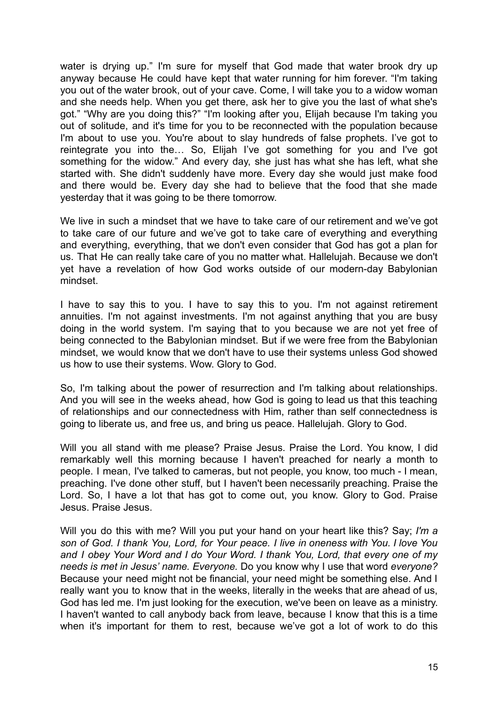water is drying up." I'm sure for myself that God made that water brook dry up anyway because He could have kept that water running for him forever. "I'm taking you out of the water brook, out of your cave. Come, I will take you to a widow woman and she needs help. When you get there, ask her to give you the last of what she's got." "Why are you doing this?" "I'm looking after you, Elijah because I'm taking you out of solitude, and it's time for you to be reconnected with the population because I'm about to use you. You're about to slay hundreds of false prophets. I've got to reintegrate you into the… So, Elijah I've got something for you and I've got something for the widow." And every day, she just has what she has left, what she started with. She didn't suddenly have more. Every day she would just make food and there would be. Every day she had to believe that the food that she made yesterday that it was going to be there tomorrow.

We live in such a mindset that we have to take care of our retirement and we've got to take care of our future and we've got to take care of everything and everything and everything, everything, that we don't even consider that God has got a plan for us. That He can really take care of you no matter what. Hallelujah. Because we don't yet have a revelation of how God works outside of our modern-day Babylonian mindset.

I have to say this to you. I have to say this to you. I'm not against retirement annuities. I'm not against investments. I'm not against anything that you are busy doing in the world system. I'm saying that to you because we are not yet free of being connected to the Babylonian mindset. But if we were free from the Babylonian mindset, we would know that we don't have to use their systems unless God showed us how to use their systems. Wow. Glory to God.

So, I'm talking about the power of resurrection and I'm talking about relationships. And you will see in the weeks ahead, how God is going to lead us that this teaching of relationships and our connectedness with Him, rather than self connectedness is going to liberate us, and free us, and bring us peace. Hallelujah. Glory to God.

Will you all stand with me please? Praise Jesus. Praise the Lord. You know, I did remarkably well this morning because I haven't preached for nearly a month to people. I mean, I've talked to cameras, but not people, you know, too much - I mean, preaching. I've done other stuff, but I haven't been necessarily preaching. Praise the Lord. So, I have a lot that has got to come out, you know. Glory to God. Praise Jesus. Praise Jesus.

Will you do this with me? Will you put your hand on your heart like this? Say; *I'm a son of God. I thank You, Lord, for Your peace. I live in oneness with You. I love You and I obey Your Word and I do Your Word. I thank You, Lord, that every one of my needs is met in Jesus' name. Everyone.* Do you know why I use that word *everyone?* Because your need might not be financial, your need might be something else. And I really want you to know that in the weeks, literally in the weeks that are ahead of us, God has led me. I'm just looking for the execution, we've been on leave as a ministry. I haven't wanted to call anybody back from leave, because I know that this is a time when it's important for them to rest, because we've got a lot of work to do this